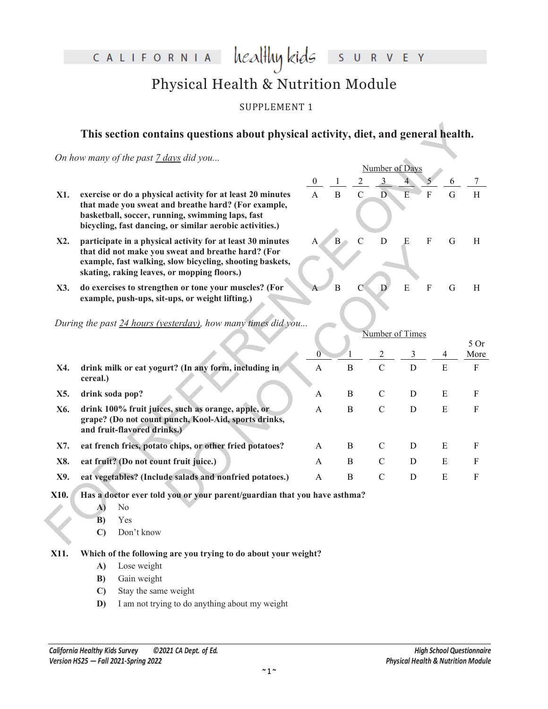CALIFORNIA

### heal<del>l</del>ly kids I S U R V E Y

## Physical Health & Nutrition Module

### SUPPLEMENT 1

### **This section contains questions about physical activity, diet, and general health.**

| On how many of the past 7 days did you                                                                                                                                                                                            |                           |                                                                                                |                |                                                                                                                   |                                              |                |                                   |                                                                                                           |
|-----------------------------------------------------------------------------------------------------------------------------------------------------------------------------------------------------------------------------------|---------------------------|------------------------------------------------------------------------------------------------|----------------|-------------------------------------------------------------------------------------------------------------------|----------------------------------------------|----------------|-----------------------------------|-----------------------------------------------------------------------------------------------------------|
|                                                                                                                                                                                                                                   |                           |                                                                                                |                |                                                                                                                   |                                              |                |                                   |                                                                                                           |
| exercise or do a physical activity for at least 20 minutes<br>that made you sweat and breathe hard? (For example,<br>basketball, soccer, running, swimming laps, fast<br>bicycling, fast dancing, or similar aerobic activities.) |                           | $\overline{B}$                                                                                 | $\overline{C}$ |                                                                                                                   | $\overline{E}$                               | $\overline{F}$ | $\overline{G}$                    | H                                                                                                         |
| participate in a physical activity for at least 30 minutes<br>that did not make you sweat and breathe hard? (For<br>example, fast walking, slow bicycling, shooting baskets,<br>skating, raking leaves, or mopping floors.)       | A                         | $B -$                                                                                          | $\overline{C}$ | $\overline{D}$                                                                                                    | E                                            | $\rm F$        | G                                 | H                                                                                                         |
| do exercises to strengthen or tone your muscles? (For<br>example, push-ups, sit-ups, or weight lifting.)                                                                                                                          |                           | $\overline{B}$                                                                                 | $\mathcal{C}$  | D                                                                                                                 | $\overline{E}$                               | $\overline{F}$ | G                                 | H                                                                                                         |
|                                                                                                                                                                                                                                   |                           |                                                                                                |                |                                                                                                                   |                                              |                |                                   |                                                                                                           |
|                                                                                                                                                                                                                                   |                           |                                                                                                |                |                                                                                                                   |                                              |                |                                   | 50r                                                                                                       |
| drink milk or eat yogurt? (In any form, including in<br>cereal.)                                                                                                                                                                  | $\boldsymbol{\mathsf{A}}$ |                                                                                                |                | $\mathbf C$                                                                                                       | $\mathbf D$                                  |                | $\mathbf E$                       | More<br>$\mathbf F$                                                                                       |
| drink soda pop?                                                                                                                                                                                                                   | $\mathbf{A}$              |                                                                                                |                | $\mathcal{C}$                                                                                                     | D                                            |                | $\mathbf E$                       | $\mathbf{F}$                                                                                              |
| drink 100% fruit juices, such as orange, apple, or<br>grape? (Do not count punch, Kool-Aid, sports drinks,<br>and fruit-flavored drinks.)                                                                                         | A                         |                                                                                                |                | $\mathbf C$                                                                                                       | $\mathbf D$                                  |                | ${\bf E}$                         | ${\bf F}$                                                                                                 |
| eat french fries, potato chips, or other fried potatoes?                                                                                                                                                                          | A                         |                                                                                                |                | $\mathcal{C}$                                                                                                     | D                                            |                | Ε                                 | F                                                                                                         |
| eat fruit? (Do not count fruit juice.)                                                                                                                                                                                            | $\mathbf{A}$              |                                                                                                |                | $\mathbf C$                                                                                                       | D                                            |                | E                                 | $\mathbf{F}$                                                                                              |
| eat vegetables? (Include salads and nonfried potatoes.)                                                                                                                                                                           | A                         |                                                                                                |                | $\mathbf C$                                                                                                       | D                                            |                | ${\bf E}$                         | ${\bf F}$                                                                                                 |
| No<br>A)<br>Yes<br>B)<br>Don't know<br>$\mathbf{C}$                                                                                                                                                                               |                           |                                                                                                |                |                                                                                                                   |                                              |                |                                   |                                                                                                           |
|                                                                                                                                                                                                                                   |                           | $\mathbf{0}$<br>During the past 24 hours (yesterday), how many times did you<br>$\overline{0}$ |                | $\, {\bf B}$<br>B<br>B<br>B<br>B<br>B<br>Has a doctor ever told you or your parent/guardian that you have asthma? | $\mathbf{3}$<br>$\overline{D}$<br>$\sqrt{2}$ | 3              | Number of Days<br>Number of Times | This section contains questions about physical activity, diet, and general health.<br>6<br>$\overline{4}$ |

- **A)** No
- **B)** Yes
- **C)** Don't know
- **X11. Which of the following are you trying to do about your weight?**
	- **A)** Lose weight
	- **B)** Gain weight
	- **C)** Stay the same weight
	- **D)** I am not trying to do anything about my weight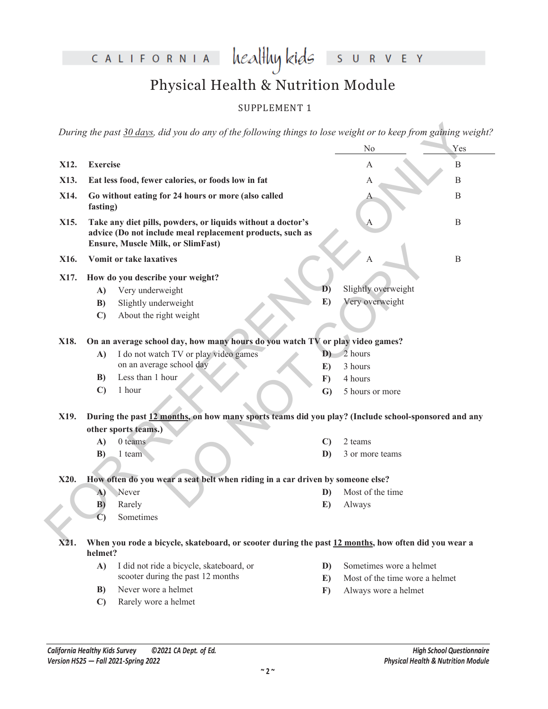CALIFORNIA healthykids SURVEY

# Physical Health & Nutrition Module

### SUPPLEMENT 1

|      |                 | During the past 30 days, did you do any of the following things to lose weight or to keep from gaining weight?                                                       |                  |                                                           |     |  |
|------|-----------------|----------------------------------------------------------------------------------------------------------------------------------------------------------------------|------------------|-----------------------------------------------------------|-----|--|
|      |                 |                                                                                                                                                                      |                  | No                                                        | Yes |  |
| X12. | <b>Exercise</b> |                                                                                                                                                                      |                  | A                                                         | B   |  |
| X13. |                 | Eat less food, fewer calories, or foods low in fat                                                                                                                   | B<br>А           |                                                           |     |  |
| X14. |                 | Go without eating for 24 hours or more (also called                                                                                                                  | $\mathbf B$<br>А |                                                           |     |  |
|      | fasting)        |                                                                                                                                                                      |                  |                                                           |     |  |
| X15. |                 | Take any diet pills, powders, or liquids without a doctor's<br>advice (Do not include meal replacement products, such as<br><b>Ensure, Muscle Milk, or SlimFast)</b> | B<br>A           |                                                           |     |  |
| X16. |                 | <b>Vomit or take laxatives</b>                                                                                                                                       | $\mathbf B$<br>А |                                                           |     |  |
| X17. |                 | How do you describe your weight?                                                                                                                                     |                  |                                                           |     |  |
|      | A)              | Very underweight                                                                                                                                                     | D)               | Slightly overweight                                       |     |  |
|      | B)              | Slightly underweight                                                                                                                                                 | E)               | Very overweight                                           |     |  |
|      | $\mathbf{C}$    | About the right weight                                                                                                                                               |                  |                                                           |     |  |
| X18. |                 | On an average school day, how many hours do you watch TV or play video games?                                                                                        |                  |                                                           |     |  |
|      | A)              | I do not watch TV or play video games                                                                                                                                | D)               | 2 hours                                                   |     |  |
|      |                 | on an average school day                                                                                                                                             | E)               | 3 hours                                                   |     |  |
|      | B)              | Less than 1 hour                                                                                                                                                     | $\mathbf{F}$     | 4 hours                                                   |     |  |
|      | $\mathbf{C}$    | 1 hour                                                                                                                                                               | $\mathbf{G}$     | 5 hours or more                                           |     |  |
| X19. |                 | During the past 12 months, on how many sports teams did you play? (Include school-sponsored and any                                                                  |                  |                                                           |     |  |
|      |                 | other sports teams.)                                                                                                                                                 |                  |                                                           |     |  |
|      | A)              | 0 teams                                                                                                                                                              | C)               | 2 teams                                                   |     |  |
|      | B)              | 1 team                                                                                                                                                               | D)               | 3 or more teams                                           |     |  |
| X20. |                 | How often do you wear a seat belt when riding in a car driven by someone else?                                                                                       |                  |                                                           |     |  |
|      | A)              | Never                                                                                                                                                                | D)               | Most of the time                                          |     |  |
|      | B)              | Rarely                                                                                                                                                               | E)               | Always                                                    |     |  |
|      | $\overline{C}$  | Sometimes                                                                                                                                                            |                  |                                                           |     |  |
| X21. |                 | When you rode a bicycle, skateboard, or scooter during the past 12 months, how often did you wear a                                                                  |                  |                                                           |     |  |
|      | helmet?         |                                                                                                                                                                      |                  |                                                           |     |  |
|      | A)              | I did not ride a bicycle, skateboard, or<br>scooter during the past 12 months                                                                                        | D)               | Sometimes wore a helmet<br>Most of the time wore a helmet |     |  |
|      | B)              | Never wore a helmet                                                                                                                                                  | E)<br>$\bf{F}$   | Always wore a helmet                                      |     |  |
|      |                 |                                                                                                                                                                      |                  |                                                           |     |  |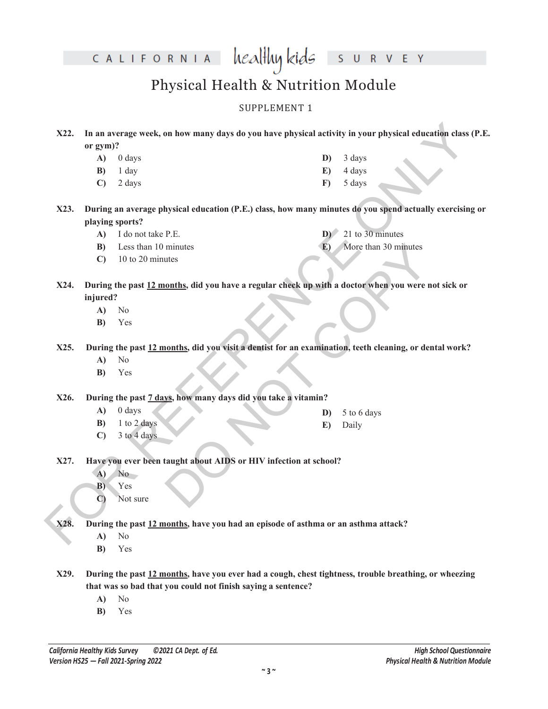CALIFORNIA healthy kids

S U R V E Y

## Physical Health & Nutrition Module

#### SUPPLEMENT 1

- **X22. In an average week, on how many days do you have physical activity in your physical education class (P.E. or gym)?**
	- **A)** 0 days **B)** 1 day **D)** 3 days **E)** 4 days
	- **C)** 2 days

**F)** 5 days

**D)** 21 to 30 minutes **E)** More than 30 minutes

- X22. In an average week, on how many days do you have physical activity in your physical education chase (P.<br>
(a) (days<br>
(b)  $\frac{1}{2}$  days<br>
(c)  $\frac{1}{2}$  days<br>
(c)  $\frac{1}{2}$  days<br>
(c)  $\frac{1}{2}$  days<br>
(c)  $\frac{1}{2}$  days<br> **X23. During an average physical education (P.E.) class, how many minutes do you spend actually exercising or playing sports?**
	- **A)** I do not take P.E.
	- **B)** Less than 10 minutes
	- **C)** 10 to 20 minutes
	- minutes<br>
	Onths, did you have a regular check up with a doctor when you were not<br>
	Nore than 30 minutes<br>
	Onths, did you have a regular check up with a doctor when you were not<br>
	Onthis, did you visit a dentist for an examinat **X24. During the past 12 months, did you have a regular check up with a doctor when you were not sick or injured?**
		- **A)** No
		- **B)** Yes

**X25. During the past 12 months, did you visit a dentist for an examination, teeth cleaning, or dental work?**

- **A)** No
- **B)** Yes

**X26. During the past 7 days, how many days did you take a vitamin?**

**A)** 0 days

- **D)** 5 to 6 days
- **E)** Daily
- **B)** 1 to 2 days **C)** 3 to 4 days
- 
- **X27. Have you ever been taught about AIDS or HIV infection at school?**
	- **A)** No
	- **B)** Yes
	- **C)** Not sure

**X28. During the past 12 months, have you had an episode of asthma or an asthma attack?**

- **A)** No
- **B)** Yes
- **X29. During the past 12 months, have you ever had a cough, chest tightness, trouble breathing, or wheezing that was so bad that you could not finish saying a sentence?**
	- **A)** No
	- **B)** Yes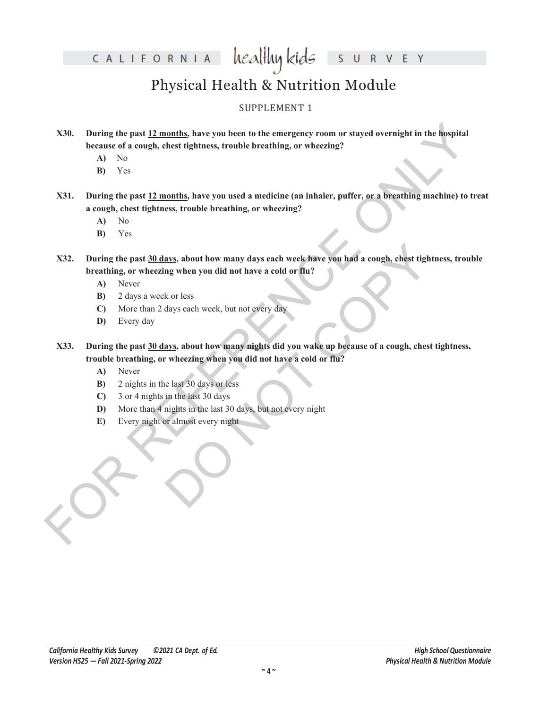CALIFORNIA  $\text{head}$ Huy kids

V E Y  $S$  $\overline{U}$  $\mathsf{R}$ 

# Physical Health & Nutrition Module

### SUPPLEMENT 1

- **X30. During the past 12 months, have you been to the emergency room or stayed overnight in the hospital because of a cough, chest tightness, trouble breathing, or wheezing?**
	- **A)** No
	- **B)** Yes

**X31. During the past 12 months, have you used a medicine (an inhaler, puffer, or a breathing machine) to treat a cough, chest tightness, trouble breathing, or wheezing?**

- **A)** No
- **B)** Yes

X30. During the past <u>12 months</u>, have you been to the emergency room or stayed overnight in the hospital<br>because of a cough, chest rightness, trouble breathing, or wheezing?<br>
A) Yes<br>
X31. During the past <u>12 months</u>, hav ays, about how many days each week have you had a cough, chest tighting when you did not have a cold or flu?<br>
k or less<br>
days each week, but not every day<br>
ays, about how many nights did you wake up because of a cough, che **X32. During the past 30 days, about how many days each week have you had a cough, chest tightness, trouble breathing, or wheezing when you did not have a cold or flu?**

- **A)** Never
- **B)** 2 days a week or less
- **C)** More than 2 days each week, but not every day
- **D)** Every day
- **X33. During the past 30 days, about how many nights did you wake up because of a cough, chest tightness, trouble breathing, or wheezing when you did not have a cold or flu?**
	- **A)** Never
	- **B)** 2 nights in the last 30 days or less
	- **C)** 3 or 4 nights in the last 30 days
	- **D)** More than 4 nights in the last 30 days, but not every night
	- **E)** Every night or almost every night